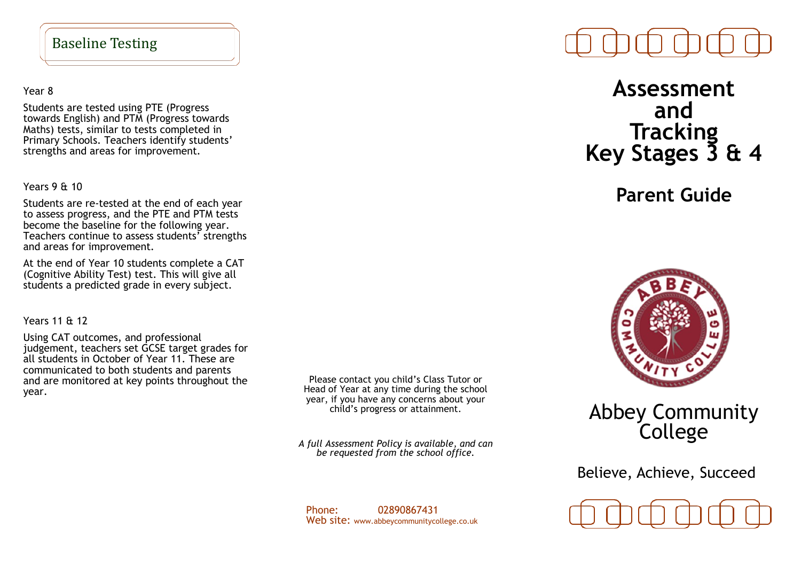#### Baseline Testing

Year 8

Students are tested using PTE (Progress towards English) and PTM (Progress towards Maths) tests, similar to tests completed in Primary Schools. Teachers identify students' strengths and areas for improvement.

Years 9 & 10

Students are re-tested at the end of each year to assess progress, and the PTE and PTM tests become the baseline for the following year. Teachers continue to assess students' strengths and areas for improvement.

At the end of Year 10 students complete a CAT (Cognitive Ability Test) test. This will give all students a predicted grade in every subject.

Years 11 & 12

Using CAT outcomes, and professional judgement, teachers set GCSE target grades for all students in October of Year 11. These are communicated to both students and parents and are monitored at key points throughout the year.

Please contact you child's Class Tutor or Head of Year at any time during the school year, if you have any concerns about your child's progress or attainment.

*A full Assessment Policy is available, and can be requested from the school office.*

Phone: 02890867431 Web site: www.abbeycommunitycollege.co.uk

# **Assessment and Tracking Key Stages 3 & 4**

**Parent Guide**



# Abbey Community College

Believe, Achieve, Succeed